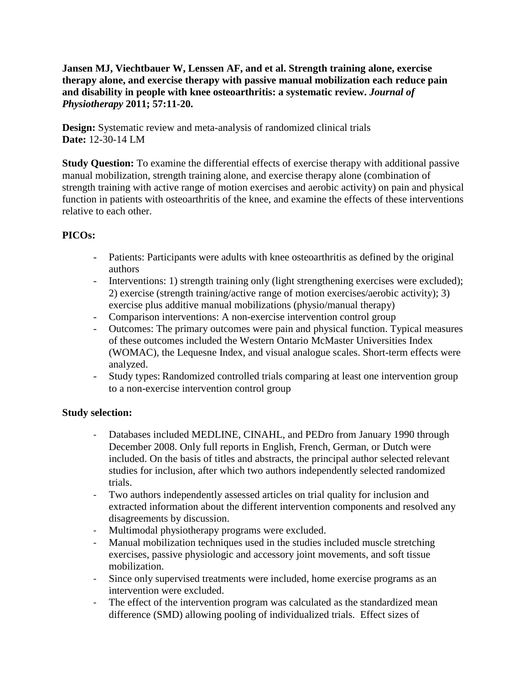**Jansen MJ, Viechtbauer W, Lenssen AF, and et al. Strength training alone, exercise therapy alone, and exercise therapy with passive manual mobilization each reduce pain and disability in people with knee osteoarthritis: a systematic review.** *Journal of Physiotherapy* **2011; 57:11-20.**

**Design:** Systematic review and meta-analysis of randomized clinical trials **Date:** 12-30-14 LM

**Study Question:** To examine the differential effects of exercise therapy with additional passive manual mobilization, strength training alone, and exercise therapy alone (combination of strength training with active range of motion exercises and aerobic activity) on pain and physical function in patients with osteoarthritis of the knee, and examine the effects of these interventions relative to each other.

# **PICOs:**

- Patients: Participants were adults with knee osteoarthritis as defined by the original authors
- Interventions: 1) strength training only (light strengthening exercises were excluded); 2) exercise (strength training/active range of motion exercises/aerobic activity); 3) exercise plus additive manual mobilizations (physio/manual therapy)
- Comparison interventions: A non-exercise intervention control group
- Outcomes: The primary outcomes were pain and physical function. Typical measures of these outcomes included the Western Ontario McMaster Universities Index (WOMAC), the Lequesne Index, and visual analogue scales. Short-term effects were analyzed.
- Study types: Randomized controlled trials comparing at least one intervention group to a non-exercise intervention control group

## **Study selection:**

- Databases included MEDLINE, CINAHL, and PEDro from January 1990 through December 2008. Only full reports in English, French, German, or Dutch were included. On the basis of titles and abstracts, the principal author selected relevant studies for inclusion, after which two authors independently selected randomized trials.
- Two authors independently assessed articles on trial quality for inclusion and extracted information about the different intervention components and resolved any disagreements by discussion.
- Multimodal physiotherapy programs were excluded.
- Manual mobilization techniques used in the studies included muscle stretching exercises, passive physiologic and accessory joint movements, and soft tissue mobilization.
- Since only supervised treatments were included, home exercise programs as an intervention were excluded.
- The effect of the intervention program was calculated as the standardized mean difference (SMD) allowing pooling of individualized trials. Effect sizes of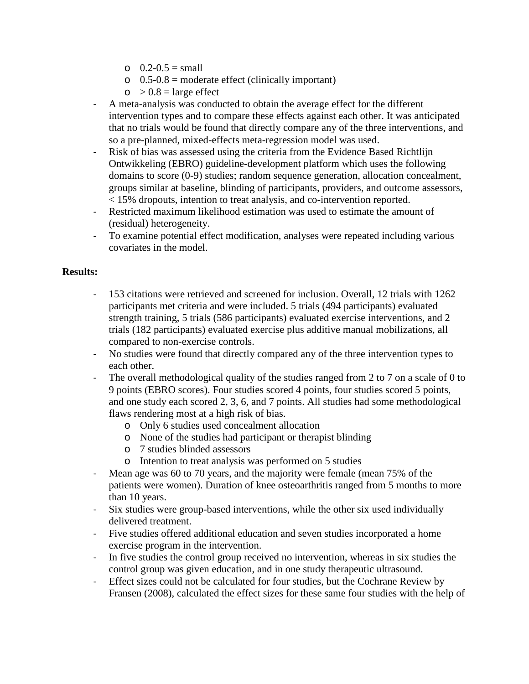- $O_1$  0.2-0.5 = small
- $\circ$  0.5-0.8 = moderate effect (clinically important)
- $\circ$  > 0.8 = large effect
- A meta-analysis was conducted to obtain the average effect for the different intervention types and to compare these effects against each other. It was anticipated that no trials would be found that directly compare any of the three interventions, and so a pre-planned, mixed-effects meta-regression model was used.
- Risk of bias was assessed using the criteria from the Evidence Based Richtlijn Ontwikkeling (EBRO) guideline-development platform which uses the following domains to score (0-9) studies; random sequence generation, allocation concealment, groups similar at baseline, blinding of participants, providers, and outcome assessors, < 15% dropouts, intention to treat analysis, and co-intervention reported.
- Restricted maximum likelihood estimation was used to estimate the amount of (residual) heterogeneity.
- To examine potential effect modification, analyses were repeated including various covariates in the model.

### **Results:**

- 153 citations were retrieved and screened for inclusion. Overall, 12 trials with 1262 participants met criteria and were included. 5 trials (494 participants) evaluated strength training, 5 trials (586 participants) evaluated exercise interventions, and 2 trials (182 participants) evaluated exercise plus additive manual mobilizations, all compared to non-exercise controls.
- No studies were found that directly compared any of the three intervention types to each other.
- The overall methodological quality of the studies ranged from 2 to 7 on a scale of 0 to 9 points (EBRO scores). Four studies scored 4 points, four studies scored 5 points, and one study each scored 2, 3, 6, and 7 points. All studies had some methodological flaws rendering most at a high risk of bias.
	- o Only 6 studies used concealment allocation
	- o None of the studies had participant or therapist blinding
	- o 7 studies blinded assessors
	- o Intention to treat analysis was performed on 5 studies
- Mean age was 60 to 70 years, and the majority were female (mean 75% of the patients were women). Duration of knee osteoarthritis ranged from 5 months to more than 10 years.
- Six studies were group-based interventions, while the other six used individually delivered treatment.
- Five studies offered additional education and seven studies incorporated a home exercise program in the intervention.
- In five studies the control group received no intervention, whereas in six studies the control group was given education, and in one study therapeutic ultrasound.
- Effect sizes could not be calculated for four studies, but the Cochrane Review by Fransen (2008), calculated the effect sizes for these same four studies with the help of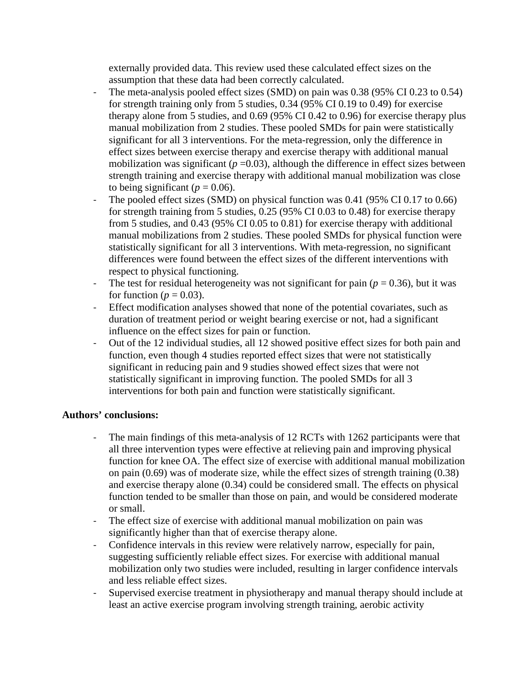externally provided data. This review used these calculated effect sizes on the assumption that these data had been correctly calculated.

- The meta-analysis pooled effect sizes (SMD) on pain was 0.38 (95% CI 0.23 to 0.54) for strength training only from 5 studies, 0.34 (95% CI 0.19 to 0.49) for exercise therapy alone from 5 studies, and 0.69 (95% CI 0.42 to 0.96) for exercise therapy plus manual mobilization from 2 studies. These pooled SMDs for pain were statistically significant for all 3 interventions. For the meta-regression, only the difference in effect sizes between exercise therapy and exercise therapy with additional manual mobilization was significant  $(p=0.03)$ , although the difference in effect sizes between strength training and exercise therapy with additional manual mobilization was close to being significant ( $p = 0.06$ ).
- The pooled effect sizes (SMD) on physical function was  $0.41$  (95% CI 0.17 to 0.66) for strength training from 5 studies, 0.25 (95% CI 0.03 to 0.48) for exercise therapy from 5 studies, and 0.43 (95% CI 0.05 to 0.81) for exercise therapy with additional manual mobilizations from 2 studies. These pooled SMDs for physical function were statistically significant for all 3 interventions. With meta-regression, no significant differences were found between the effect sizes of the different interventions with respect to physical functioning.
- The test for residual heterogeneity was not significant for pain  $(p = 0.36)$ , but it was for function ( $p = 0.03$ ).
- Effect modification analyses showed that none of the potential covariates, such as duration of treatment period or weight bearing exercise or not, had a significant influence on the effect sizes for pain or function.
- Out of the 12 individual studies, all 12 showed positive effect sizes for both pain and function, even though 4 studies reported effect sizes that were not statistically significant in reducing pain and 9 studies showed effect sizes that were not statistically significant in improving function. The pooled SMDs for all 3 interventions for both pain and function were statistically significant.

## **Authors' conclusions:**

- The main findings of this meta-analysis of 12 RCTs with 1262 participants were that all three intervention types were effective at relieving pain and improving physical function for knee OA. The effect size of exercise with additional manual mobilization on pain (0.69) was of moderate size, while the effect sizes of strength training (0.38) and exercise therapy alone (0.34) could be considered small. The effects on physical function tended to be smaller than those on pain, and would be considered moderate or small.
- The effect size of exercise with additional manual mobilization on pain was significantly higher than that of exercise therapy alone.
- Confidence intervals in this review were relatively narrow, especially for pain, suggesting sufficiently reliable effect sizes. For exercise with additional manual mobilization only two studies were included, resulting in larger confidence intervals and less reliable effect sizes.
- Supervised exercise treatment in physiotherapy and manual therapy should include at least an active exercise program involving strength training, aerobic activity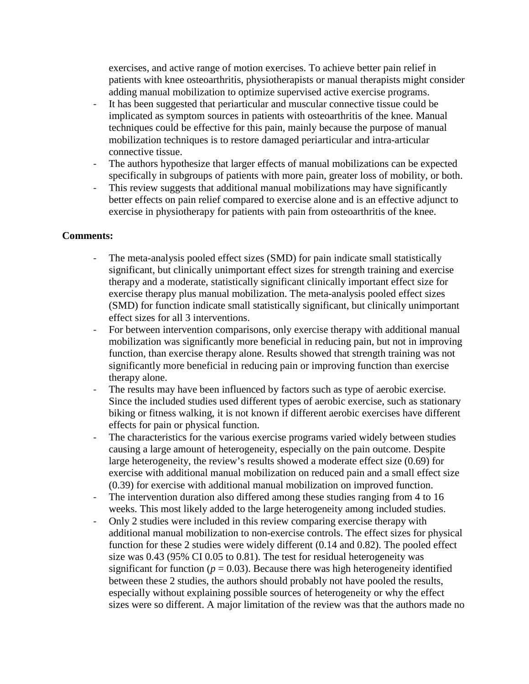exercises, and active range of motion exercises. To achieve better pain relief in patients with knee osteoarthritis, physiotherapists or manual therapists might consider adding manual mobilization to optimize supervised active exercise programs.

- It has been suggested that periarticular and muscular connective tissue could be implicated as symptom sources in patients with osteoarthritis of the knee. Manual techniques could be effective for this pain, mainly because the purpose of manual mobilization techniques is to restore damaged periarticular and intra-articular connective tissue.
- The authors hypothesize that larger effects of manual mobilizations can be expected specifically in subgroups of patients with more pain, greater loss of mobility, or both.
- This review suggests that additional manual mobilizations may have significantly better effects on pain relief compared to exercise alone and is an effective adjunct to exercise in physiotherapy for patients with pain from osteoarthritis of the knee.

### **Comments:**

- The meta-analysis pooled effect sizes (SMD) for pain indicate small statistically significant, but clinically unimportant effect sizes for strength training and exercise therapy and a moderate, statistically significant clinically important effect size for exercise therapy plus manual mobilization. The meta-analysis pooled effect sizes (SMD) for function indicate small statistically significant, but clinically unimportant effect sizes for all 3 interventions.
- For between intervention comparisons, only exercise therapy with additional manual mobilization was significantly more beneficial in reducing pain, but not in improving function, than exercise therapy alone. Results showed that strength training was not significantly more beneficial in reducing pain or improving function than exercise therapy alone.
- The results may have been influenced by factors such as type of aerobic exercise. Since the included studies used different types of aerobic exercise, such as stationary biking or fitness walking, it is not known if different aerobic exercises have different effects for pain or physical function.
- The characteristics for the various exercise programs varied widely between studies causing a large amount of heterogeneity, especially on the pain outcome. Despite large heterogeneity, the review's results showed a moderate effect size (0.69) for exercise with additional manual mobilization on reduced pain and a small effect size (0.39) for exercise with additional manual mobilization on improved function.
- The intervention duration also differed among these studies ranging from 4 to 16 weeks. This most likely added to the large heterogeneity among included studies.
- Only 2 studies were included in this review comparing exercise therapy with additional manual mobilization to non-exercise controls. The effect sizes for physical function for these 2 studies were widely different (0.14 and 0.82). The pooled effect size was 0.43 (95% CI 0.05 to 0.81). The test for residual heterogeneity was significant for function ( $p = 0.03$ ). Because there was high heterogeneity identified between these 2 studies, the authors should probably not have pooled the results, especially without explaining possible sources of heterogeneity or why the effect sizes were so different. A major limitation of the review was that the authors made no